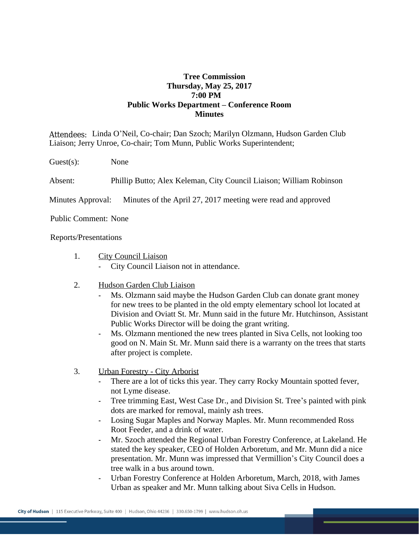## **Tree Commission Thursday, May 25, 2017 7:00 PM Public Works Department – Conference Room Minutes**

Attendees: Linda O'Neil, Co-chair; Dan Szoch; Marilyn Olzmann, Hudson Garden Club Liaison; Jerry Unroe, Co-chair; Tom Munn, Public Works Superintendent;

Guest(s): None

Absent: Phillip Butto; Alex Keleman, City Council Liaison; William Robinson

Minutes Approval: Minutes of the April 27, 2017 meeting were read and approved

Public Comment: None

## Reports/Presentations

- 1. City Council Liaison
	- City Council Liaison not in attendance.
- 2. Hudson Garden Club Liaison
	- Ms. Olzmann said maybe the Hudson Garden Club can donate grant money for new trees to be planted in the old empty elementary school lot located at Division and Oviatt St. Mr. Munn said in the future Mr. Hutchinson, Assistant Public Works Director will be doing the grant writing.
	- Ms. Olzmann mentioned the new trees planted in Siva Cells, not looking too good on N. Main St. Mr. Munn said there is a warranty on the trees that starts after project is complete.
- 3. Urban Forestry City Arborist
	- There are a lot of ticks this year. They carry Rocky Mountain spotted fever, not Lyme disease.
	- Tree trimming East, West Case Dr., and Division St. Tree's painted with pink dots are marked for removal, mainly ash trees.
	- Losing Sugar Maples and Norway Maples. Mr. Munn recommended Ross Root Feeder, and a drink of water.
	- Mr. Szoch attended the Regional Urban Forestry Conference, at Lakeland. He stated the key speaker, CEO of Holden Arboretum, and Mr. Munn did a nice presentation. Mr. Munn was impressed that Vermillion's City Council does a tree walk in a bus around town.
	- Urban Forestry Conference at Holden Arboretum, March, 2018, with James Urban as speaker and Mr. Munn talking about Siva Cells in Hudson.